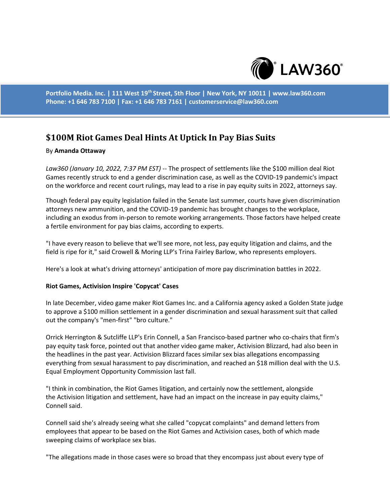

**Portfolio Media. Inc. | 111 West 19th Street, 5th Floor | New York, NY 10011 | www.law360.com Phone: +1 646 783 7100 | Fax: +1 646 783 7161 | customerservice@law360.com**

# **\$100M Riot Games Deal Hints At Uptick In Pay Bias Suits**

### By **Amanda Ottaway**

*Law360 (January 10, 2022, 7:37 PM EST)* -- The prospect of settlements like the \$100 million deal Riot Games recently struck to end a gender discrimination case, as well as the COVID-19 pandemic's impact on the workforce and recent court rulings, may lead to a rise in pay equity suits in 2022, attorneys say.

Though federal pay equity legislation failed in the Senate last summer, courts have given discrimination attorneys new ammunition, and the COVID-19 pandemic has brought changes to the workplace, including an exodus from in-person to remote working arrangements. Those factors have helped create a fertile environment for pay bias claims, according to experts.

"I have every reason to believe that we'll see more, not less, pay equity litigation and claims, and the field is ripe for it," said Crowell & Moring LLP's Trina Fairley Barlow, who represents employers.

Here's a look at what's driving attorneys' anticipation of more pay discrimination battles in 2022.

#### **Riot Games, Activision Inspire 'Copycat' Cases**

In late December, video game maker Riot Games Inc. and a California agency asked a Golden State judge to approve a \$100 million settlement in a gender discrimination and sexual harassment suit that called out the company's "men-first" "bro culture."

Orrick Herrington & Sutcliffe LLP's Erin Connell, a San Francisco-based partner who co-chairs that firm's pay equity task force, pointed out that another video game maker, Activision Blizzard, had also been in the headlines in the past year. Activision Blizzard faces similar sex bias allegations encompassing everything from sexual harassment to pay discrimination, and reached an \$18 million deal with the U.S. Equal Employment Opportunity Commission last fall.

"I think in combination, the Riot Games litigation, and certainly now the settlement, alongside the Activision litigation and settlement, have had an impact on the increase in pay equity claims," Connell said.

Connell said she's already seeing what she called "copycat complaints" and demand letters from employees that appear to be based on the Riot Games and Activision cases, both of which made sweeping claims of workplace sex bias.

"The allegations made in those cases were so broad that they encompass just about every type of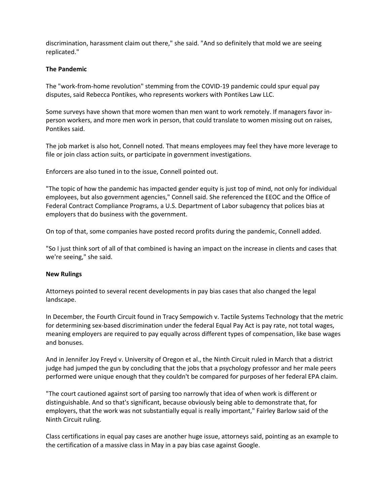discrimination, harassment claim out there," she said. "And so definitely that mold we are seeing replicated."

## **The Pandemic**

The "work-from-home revolution" stemming from the COVID-19 pandemic could spur equal pay disputes, said Rebecca Pontikes, who represents workers with Pontikes Law LLC.

Some surveys have shown that more women than men want to work remotely. If managers favor inperson workers, and more men work in person, that could translate to women missing out on raises, Pontikes said.

The job market is also hot, Connell noted. That means employees may feel they have more leverage to file or join class action suits, or participate in government investigations.

Enforcers are also tuned in to the issue, Connell pointed out.

"The topic of how the pandemic has impacted gender equity is just top of mind, not only for individual employees, but also government agencies," Connell said. She referenced the EEOC and the Office of Federal Contract Compliance Programs, a U.S. Department of Labor subagency that polices bias at employers that do business with the government.

On top of that, some companies have posted record profits during the pandemic, Connell added.

"So I just think sort of all of that combined is having an impact on the increase in clients and cases that we're seeing," she said.

## **New Rulings**

Attorneys pointed to several recent developments in pay bias cases that also changed the legal landscape.

In December, the Fourth Circuit found in Tracy Sempowich v. Tactile Systems Technology that the metric for determining sex-based discrimination under the federal Equal Pay Act is pay rate, not total wages, meaning employers are required to pay equally across different types of compensation, like base wages and bonuses.

And in Jennifer Joy Freyd v. University of Oregon et al., the Ninth Circuit ruled in March that a district judge had jumped the gun by concluding that the jobs that a psychology professor and her male peers performed were unique enough that they couldn't be compared for purposes of her federal EPA claim.

"The court cautioned against sort of parsing too narrowly that idea of when work is different or distinguishable. And so that's significant, because obviously being able to demonstrate that, for employers, that the work was not substantially equal is really important," Fairley Barlow said of the Ninth Circuit ruling.

Class certifications in equal pay cases are another huge issue, attorneys said, pointing as an example to the certification of a massive class in May in a pay bias case against Google.